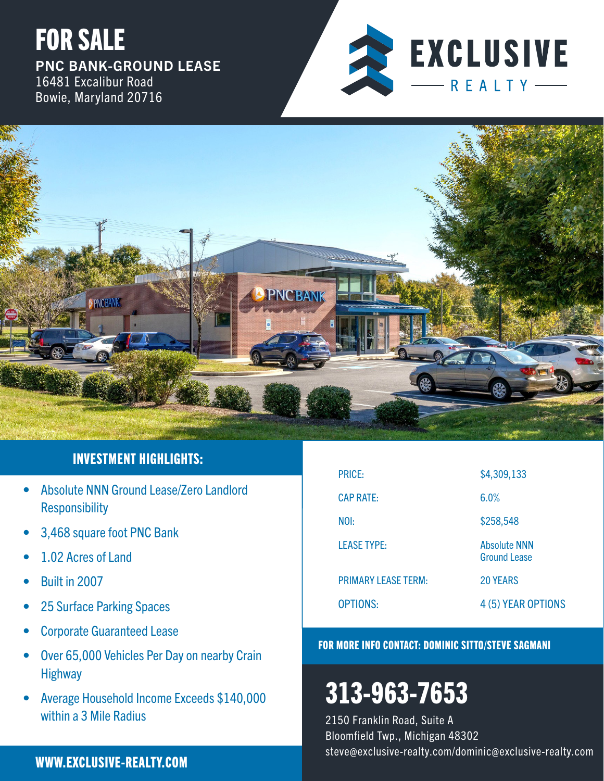



# INVESTMENT HIGHLIGHTS:

- Absolute NNN Ground Lease/Zero Landlord Responsibility
- 3,468 square foot PNC Bank
- 1.02 Acres of Land
- Built in 2007
- 25 Surface Parking Spaces
- Corporate Guaranteed Lease
- Over 65,000 Vehicles Per Day on nearby Crain **Highway**
- Average Household Income Exceeds \$140,000 within a 3 Mile Radius

# PRICE: \$4,309,133 CAP RATE: 6.0% NOI: \$258,548 LEASE TYPE: Absolute NNN Ground Lease PRIMARY LEASE TERM: 20 YEARS OPTIONS: 4 (5) YEAR OPTIONS

### FOR MORE INFO CONTACT: DOMINIC SITTO/STEVE SAGMANI

# 313-963-7653

2150 Franklin Road, Suite A Bloomfield Twp., Michigan 48302 steve@exclusive-realty.com/dominic@exclusive-realty.com WWW.EXCLUSIVE-REALTY.COM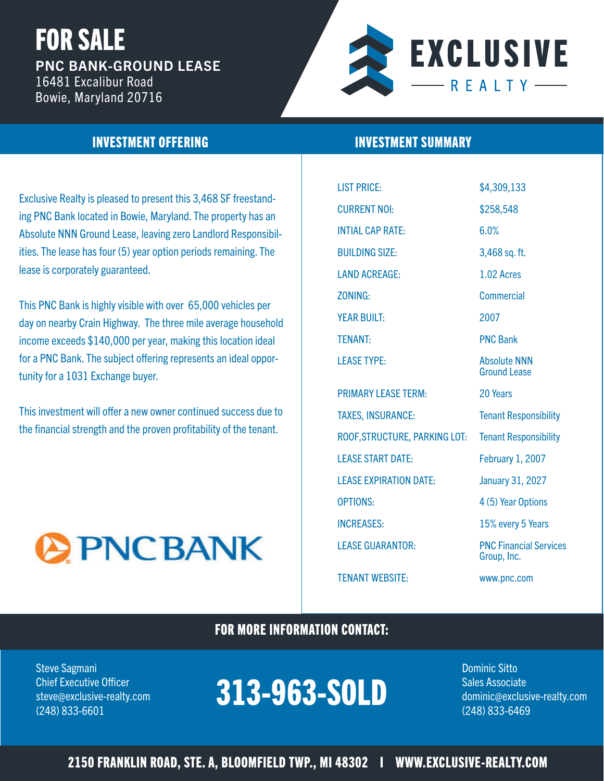

### INVESTMENT OFFERING INVESTMENT SUMMARY

Exclusive Realty is pleased to present this 3,468 SF freestanding PNC Bank located in Bowie, Maryland. The property has an Absolute NNN Ground Lease, leaving zero Landlord Responsibilities. The lease has four (5) year option periods remaining. The lease is corporately guaranteed.

This PNC Bank is highly visible with over 65,000 vehicles per day on nearby Crain Highway. The three mile average household income exceeds \$140,000 per year, making this location ideal for a PNC Bank. The subject offering represents an ideal opportunity for a 1031 Exchange buyer.

This investment will offer a new owner continued success due to the financial strength and the proven profitability of the tenant.



| <b>LIST PRICE:</b>            | \$4,309,133                                  |
|-------------------------------|----------------------------------------------|
| <b>CURRENT NOI:</b>           | \$258,548                                    |
| <b>INTIAL CAP RATE:</b>       | 6.0%                                         |
| <b>BUILDING SIZE:</b>         | 3,468 sq. ft.                                |
| <b>LAND ACREAGE:</b>          | 1.02 Acres                                   |
| <b>ZONING:</b>                | <b>Commercial</b>                            |
| <b>YEAR BUILT:</b>            | 2007                                         |
| <b>TENANT:</b>                | <b>PNC Bank</b>                              |
| <b>LEASE TYPE:</b>            | <b>Absolute NNN</b><br><b>Ground Lease</b>   |
| <b>PRIMARY LEASE TERM:</b>    | 20 Years                                     |
| <b>TAXES, INSURANCE:</b>      | <b>Tenant Responsibility</b>                 |
| ROOF, STRUCTURE, PARKING LOT: | <b>Tenant Responsibility</b>                 |
| <b>LEASE START DATE:</b>      | <b>February 1, 2007</b>                      |
| <b>LEASE EXPIRATION DATE:</b> | <b>January 31, 2027</b>                      |
| <b>OPTIONS:</b>               | 4 (5) Year Options                           |
| <b>INCREASES:</b>             | 15% every 5 Years                            |
| <b>LEASE GUARANTOR:</b>       | <b>PNC Financial Services</b><br>Group, Inc. |

TENANT WEBSITE: www.pnc.com

### FOR MORE INFORMATION CONTACT:

Steve Sagmani Dominic Sitto

#### Chief Executive Officer **COLOGY IS A COLOGY OF A LOST AND A COLOGY AREA** steve@exclusive-realty.com **DLJDVDJ-NULL** dominic@exclusive-realty.com (248) 833-6601 (248) 833-6469 313-963-SOLD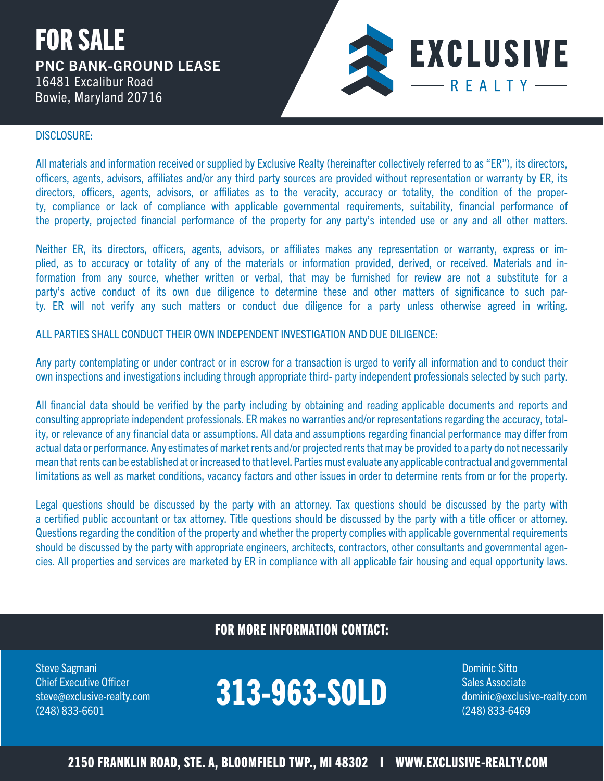

### DISCLOSURE:

All materials and information received or supplied by Exclusive Realty (hereinafter collectively referred to as "ER"), its directors, officers, agents, advisors, affiliates and/or any third party sources are provided without representation or warranty by ER, its directors, officers, agents, advisors, or affiliates as to the veracity, accuracy or totality, the condition of the property, compliance or lack of compliance with applicable governmental requirements, suitability, financial performance of the property, projected financial performance of the property for any party's intended use or any and all other matters.

Neither ER, its directors, officers, agents, advisors, or affiliates makes any representation or warranty, express or implied, as to accuracy or totality of any of the materials or information provided, derived, or received. Materials and information from any source, whether written or verbal, that may be furnished for review are not a substitute for a party's active conduct of its own due diligence to determine these and other matters of significance to such party. ER will not verify any such matters or conduct due diligence for a party unless otherwise agreed in writing.

ALL PARTIES SHALL CONDUCT THEIR OWN INDEPENDENT INVESTIGATION AND DUE DILIGENCE:

Any party contemplating or under contract or in escrow for a transaction is urged to verify all information and to conduct their own inspections and investigations including through appropriate third- party independent professionals selected by such party.

All financial data should be verified by the party including by obtaining and reading applicable documents and reports and consulting appropriate independent professionals. ER makes no warranties and/or representations regarding the accuracy, totality, or relevance of any financial data or assumptions. All data and assumptions regarding financial performance may differ from actual data or performance. Any estimates of market rents and/or projected rents that may be provided to a party do not necessarily mean that rents can be established at or increased to that level. Parties must evaluate any applicable contractual and governmental limitations as well as market conditions, vacancy factors and other issues in order to determine rents from or for the property.

Legal questions should be discussed by the party with an attorney. Tax questions should be discussed by the party with a certified public accountant or tax attorney. Title questions should be discussed by the party with a title officer or attorney. Questions regarding the condition of the property and whether the property complies with applicable governmental requirements should be discussed by the party with appropriate engineers, architects, contractors, other consultants and governmental agencies. All properties and services are marketed by ER in compliance with all applicable fair housing and equal opportunity laws.

### FOR MORE INFORMATION CONTACT:

Steve Sagmani Dominic Sitto Channels and Channels and Channels and Channels and Channels and Dominic Sitto Channels and Channels and Channels and Channels and Channels and Channels and Channels and Channels and Channels an

#### Chief Executive Officer **COLOGY IS A COLOGY OF A LOST AND A COLOGY AREA** steve@exclusive-realty.com **DLJDVDJ-NULL** dominic@exclusive-realty.com (248) 833-6601 (248) 833-6469 313-963-SOLD